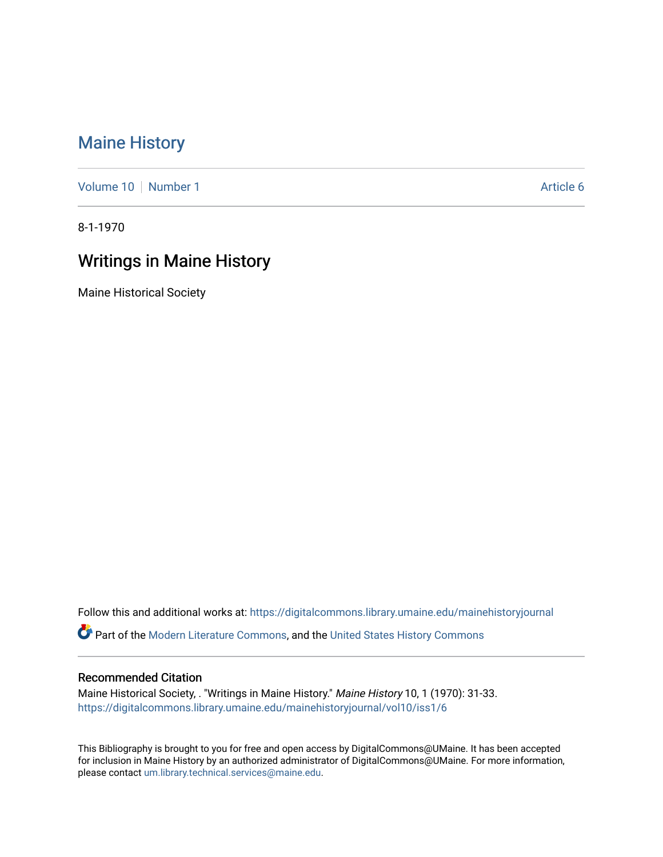## [Maine History](https://digitalcommons.library.umaine.edu/mainehistoryjournal)

[Volume 10](https://digitalcommons.library.umaine.edu/mainehistoryjournal/vol10) [Number 1](https://digitalcommons.library.umaine.edu/mainehistoryjournal/vol10/iss1) Article 6

8-1-1970

## Writings in Maine History

Maine Historical Society

Follow this and additional works at: [https://digitalcommons.library.umaine.edu/mainehistoryjournal](https://digitalcommons.library.umaine.edu/mainehistoryjournal?utm_source=digitalcommons.library.umaine.edu%2Fmainehistoryjournal%2Fvol10%2Fiss1%2F6&utm_medium=PDF&utm_campaign=PDFCoverPages)  Part of the [Modern Literature Commons,](http://network.bepress.com/hgg/discipline/1050?utm_source=digitalcommons.library.umaine.edu%2Fmainehistoryjournal%2Fvol10%2Fiss1%2F6&utm_medium=PDF&utm_campaign=PDFCoverPages) and the [United States History Commons](http://network.bepress.com/hgg/discipline/495?utm_source=digitalcommons.library.umaine.edu%2Fmainehistoryjournal%2Fvol10%2Fiss1%2F6&utm_medium=PDF&utm_campaign=PDFCoverPages)

## Recommended Citation

Maine Historical Society, . "Writings in Maine History." Maine History 10, 1 (1970): 31-33. [https://digitalcommons.library.umaine.edu/mainehistoryjournal/vol10/iss1/6](https://digitalcommons.library.umaine.edu/mainehistoryjournal/vol10/iss1/6?utm_source=digitalcommons.library.umaine.edu%2Fmainehistoryjournal%2Fvol10%2Fiss1%2F6&utm_medium=PDF&utm_campaign=PDFCoverPages)

This Bibliography is brought to you for free and open access by DigitalCommons@UMaine. It has been accepted for inclusion in Maine History by an authorized administrator of DigitalCommons@UMaine. For more information, please contact [um.library.technical.services@maine.edu.](mailto:um.library.technical.services@maine.edu)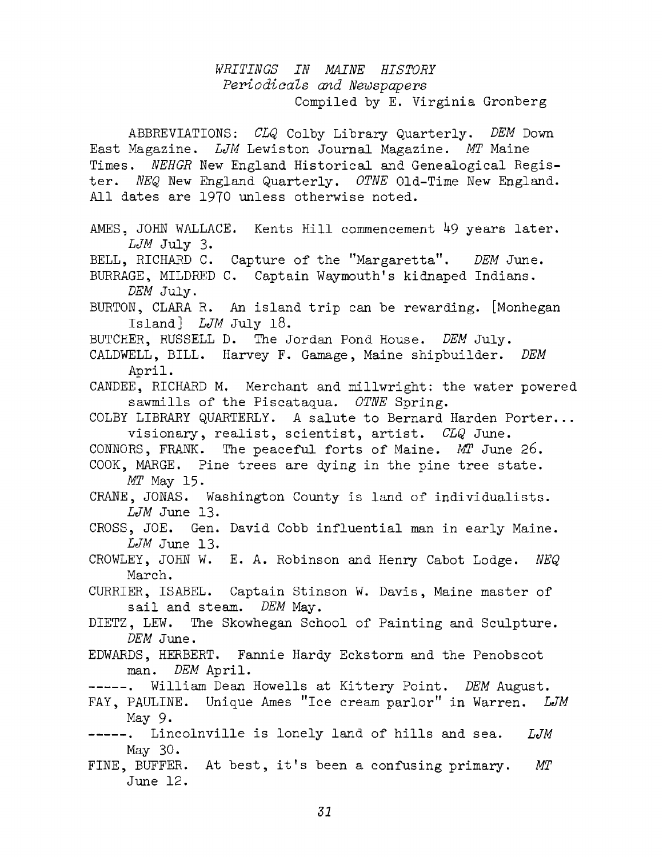## *WRITINGS IN MAINE HISTORY Periodicals and Newspapers* Compiled by E. Virginia Gronberg

ABBREVIATIONS: *CLQ* Colby Library Quarterly. *DEM* Down East Magazine. *LJM* Lewiston Journal Magazine. *MT* Maine Times. *NEHGR* New England Historical and Genealogical Register. *NEQ* New England Quarterly. *OTNE* Old-Time New England. All dates are <sup>1970</sup> unless otherwise noted.

AMES, JOHN WALLACE. Kents Hill commencement <sup>49</sup> years later. *LJM* July 3. BELL, RICHARD C. Capture of the "Margaretta". *DEM* June. BURRAGE, MILDRED C. Captain Waymouth'<sup>s</sup> kidnaped Indians. *DEM* July. BURTON, CLARA R. An island trip can be rewarding. [Monhegan Island] *LJM* July 18. BUTCHER, RUSSELL D. The Jordan Pond House. *DEM* July. CALDWELL, BILL. Harvey F. Gamage, Maine shipbuilder. *DEM* April. CANDEE, RICHARD M. Merchant and millwright: the water powered sawmills of the Piscataqua. *OTNE* Spring. COLBY LIBRARY QUARTERLY. <sup>A</sup> salute to Bernard Harden Porter... visionary, realist, scientist, artist. *CLQ* June. CONNORS, FRANK. The peaceful forts of Maine. *MT* June 26. COOK, MARGE. Pine trees are dying in the pine tree state. *MT* May 15. CRANE, JONAS. Washington County is land of individualists. *LJM* June 13. CROSS, JOE. Gen. David Cobb influential man in early Maine. *LJM* June 13. CROWLEY, JOHN W. E. A. Robinson and Henry Cabot Lodge. *NEQ* March. CURRIER, ISABEL. Captain Stinson W. Davis, Maine master of sail and steam. *DEM* May. DIETZ, LEW. The Skowhegan School of Painting and Sculpture. *DEM* June. EDWARDS, HERBERT. Fannie Hardy Eckstorm and the Penobscot man. *DEM* April. -----. William Dean Howells at Kittery Point. *DEM* August. FAY, PAULINE. Unique Ames "Ice cream parlor" in Warren. *LJM* May 9. Lincolnville is lonely land of hills and sea. *LJM* May 30. FINE, BUFFER. At best, it'<sup>s</sup> been <sup>a</sup> confusing primary. *MT* June 12.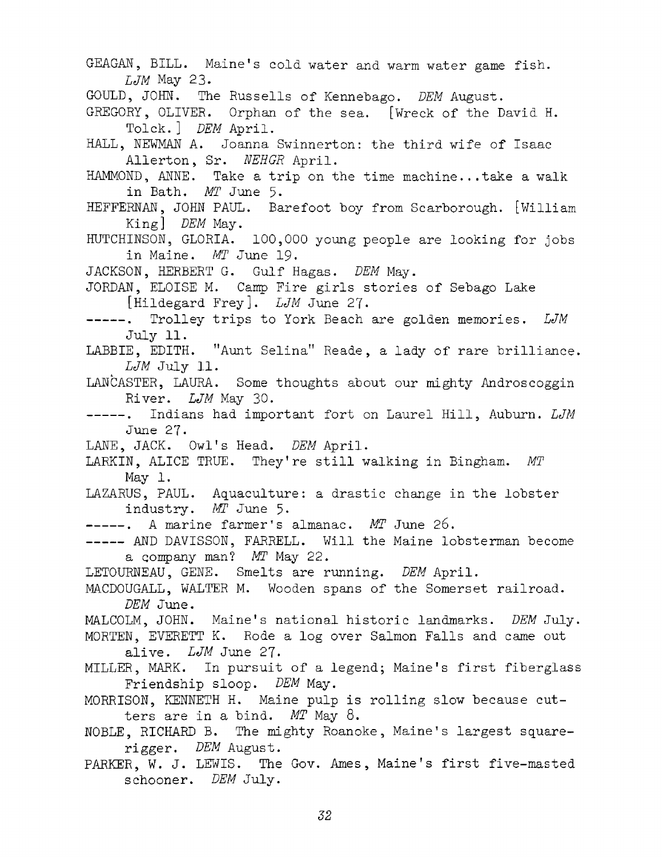GEAGAN, BILL. Maine'<sup>s</sup> cold water and warm water game fish. *LJM* May 23. GOULD, JOHN. The Russells of Kennebago. *DEM* August. GREGORY, OLIVER. Orphan of the sea. [Wreck of the David H. Tolck. ] *DEM* April. HALL, NEWMAN A. Joanna Swinnerton: the third wife of Isaac Allerton, Sr. *NEHGR* April. HAMMOND, ANNE. Take <sup>a</sup> trip on the time machine... take <sup>a</sup> walk in Bath. *MT* June 5- HEFFERNAN, JOHN PAUL. Barefoot boy from Scarborough. [William King] *DEM* May. HUTCHINSON, GLORIA. 100,000 young people are looking for jobs in Maine. *MT* June 19. JACKSON, HERBERT G. Gulf Hagas. *DEM* May. JORDAN, ELOISE M. Camp Fire girls stories of Sebago Lake [Hildegard Frey]. *LJM* June 27. -----. Trolley trips to York Beach are golden memories. LJM July 11. LABBIE, EDITH. ''Aunt Selina" Reade, a lady of rare brilliance. *LJM* July 11. LANCASTER, LAURA. Some thoughts about our mighty Androscoggin River. *LJM* May 30. Indians had important fort on Laurel Hill, Auburn. *LJM* June 27. LANE, JACK. Owl'<sup>s</sup> Head. *DEM* April. LARKIN, ALICE TRUE. They're still walking in Bingham. *MT* May 1. LAZARUS, PAUL. Aquaculture: a drastic change in the lobster industry. *MT* June 5. <sup>A</sup> marine farmer'<sup>s</sup> almanac. *MT* June 26. ------- AND DAVISSON, FARRELL. Will the Maine lobsterman become a company man? *MT* May 22. LETOURNEAU, GENE. Smelts are running. *DEM* April. MACDOUGALL, WALTER M. Wooden spans of the Somerset railroad. *DEM* June. MALCOLM, JOHN. Maine'<sup>s</sup> national historic landmarks. *DEM* July. MORTEN, EVERETT K. Rode a log over Salmon Falls and came out alive. *LJM* June 27. MILLER, MARK. In pursuit of <sup>a</sup> legend; Maine'<sup>s</sup> first fiberglass Friendship sloop. *DEM* May. MORRISON, KENNETH H. Maine pulp is rolling slow because cutters are in a bind. *MT* May 8. NOBLE, RICHARD B. The mighty Roanoke, Maine's largest squarerigger. *DEM* August. PARKER, W. J. LEWIS. The Gov. Ames, Maine'<sup>s</sup> first five-masted schooner. *DEM* July.